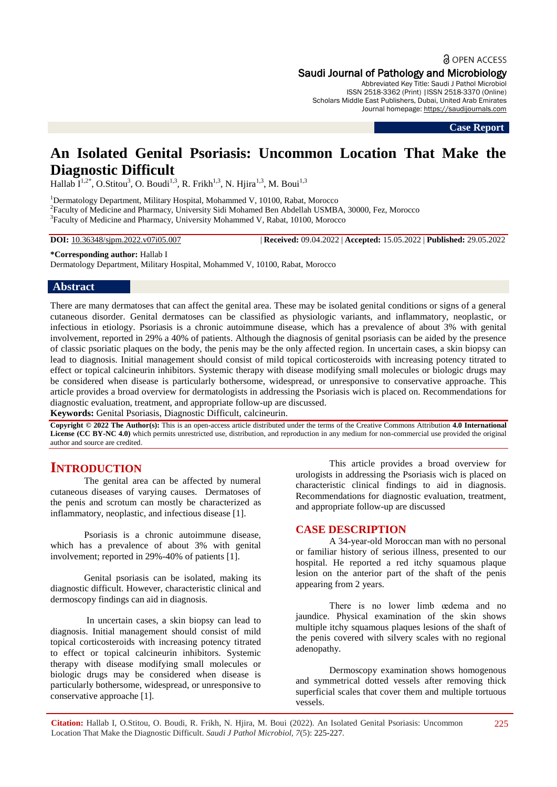a OPEN ACCESS

## Saudi Journal of Pathology and Microbiology

Abbreviated Key Title: Saudi J Pathol Microbiol ISSN 2518-3362 (Print) |ISSN 2518-3370 (Online) Scholars Middle East Publishers, Dubai, United Arab Emirates Journal homepage: [https://saudijournals.com](https://saudijournals.com/sjpm)

**Case Report**

# **An Isolated Genital Psoriasis: Uncommon Location That Make the Diagnostic Difficult**

Hallab  $I^{1,2^*}$ , O.Stitou<sup>3</sup>, O. Boudi<sup>1,3</sup>, R. Frikh<sup>1,3</sup>, N. Hjira<sup>1,3</sup>, M. Boui<sup>1,3</sup>

<sup>1</sup>Dermatology Department, Military Hospital, Mohammed V, 10100, Rabat, Morocco 2 Faculty of Medicine and Pharmacy, University Sidi Mohamed Ben Abdellah USMBA, 30000, Fez, Morocco <sup>3</sup>Faculty of Medicine and Pharmacy, University Mohammed V, Rabat, 10100, Morocco

**DOI:** 10.36348/sjpm.2022.v07i05.007 | **Received:** 09.04.2022 | **Accepted:** 15.05.2022 | **Published:** 29.05.2022

## **\*Corresponding author:** Hallab I

Dermatology Department, Military Hospital, Mohammed V, 10100, Rabat, Morocco

## **Abstract**

There are many dermatoses that can affect the genital area. These may be isolated genital conditions or signs of a general cutaneous disorder. Genital dermatoses can be classified as physiologic variants, and inflammatory, neoplastic, or infectious in etiology. Psoriasis is a chronic autoimmune disease, which has a prevalence of about 3% with genital involvement, reported in 29% a 40% of patients. Although the diagnosis of genital psoriasis can be aided by the presence of classic psoriatic plaques on the body, the penis may be the only affected region. In uncertain cases, a skin biopsy can lead to diagnosis. Initial management should consist of mild topical corticosteroids with increasing potency titrated to effect or topical calcineurin inhibitors. Systemic therapy with disease modifying small molecules or biologic drugs may be considered when disease is particularly bothersome, widespread, or unresponsive to conservative approache. This article provides a broad overview for dermatologists in addressing the Psoriasis wich is placed on. Recommendations for diagnostic evaluation, treatment, and appropriate follow-up are discussed.

**Keywords:** Genital Psoriasis, Diagnostic Difficult, calcineurin.

**Copyright © 2022 The Author(s):** This is an open-access article distributed under the terms of the Creative Commons Attribution **4.0 International**  License (CC BY-NC 4.0) which permits unrestricted use, distribution, and reproduction in any medium for non-commercial use provided the original author and source are credited.

## **INTRODUCTION**

The genital area can be affected by numeral cutaneous diseases of varying causes. Dermatoses of the penis and scrotum can mostly be characterized as inflammatory, neoplastic, and infectious disease [1].

Psoriasis is a chronic autoimmune disease, which has a prevalence of about 3% with genital involvement; reported in 29%-40% of patients [1].

Genital psoriasis can be isolated, making its diagnostic difficult. However, characteristic clinical and dermoscopy findings can aid in diagnosis.

In uncertain cases, a skin biopsy can lead to diagnosis. Initial management should consist of mild topical corticosteroids with increasing potency titrated to effect or topical calcineurin inhibitors. Systemic therapy with disease modifying small molecules or biologic drugs may be considered when disease is particularly bothersome, widespread, or unresponsive to conservative approache [1].

This article provides a broad overview for urologists in addressing the Psoriasis wich is placed on characteristic clinical findings to aid in diagnosis. Recommendations for diagnostic evaluation, treatment, and appropriate follow-up are discussed

## **CASE DESCRIPTION**

A 34-year-old Moroccan man with no personal or familiar history of serious illness, presented to our hospital. He reported a red itchy squamous plaque lesion on the anterior part of the shaft of the penis appearing from 2 years.

There is no lower limb œdema and no jaundice. Physical examination of the skin shows multiple itchy squamous plaques lesions of the shaft of the penis covered with silvery scales with no regional adenopathy.

Dermoscopy examination shows homogenous and symmetrical dotted vessels after removing thick superficial scales that cover them and multiple tortuous vessels.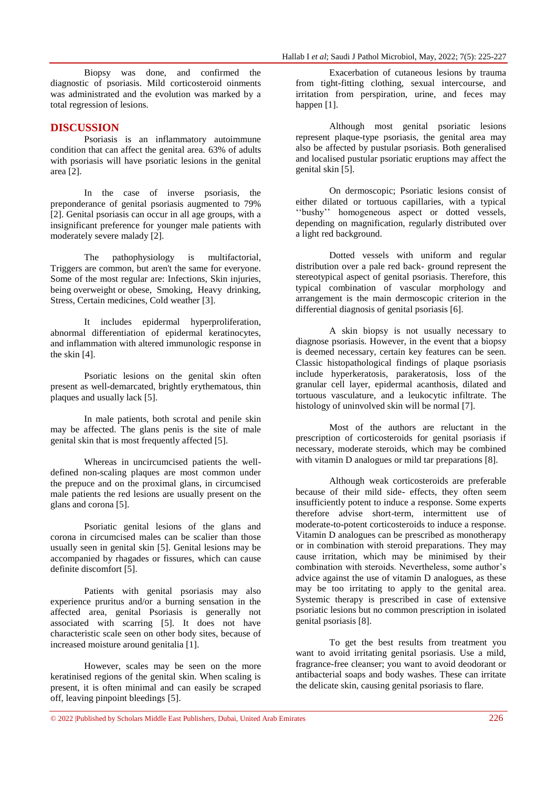Biopsy was done, and confirmed the diagnostic of psoriasis. Mild corticosteroid oinments was administrated and the evolution was marked by a total regression of lesions.

## **DISCUSSION**

Psoriasis is an inflammatory autoimmune condition that can affect the genital area. 63% of adults with psoriasis will have psoriatic lesions in the genital area [2].

In the case of inverse psoriasis, the preponderance of genital psoriasis augmented to 79% [2]. Genital psoriasis can occur in all age groups, with a insignificant preference for younger male patients with moderately severe malady [2].

The pathophysiology is multifactorial, Triggers are common, but aren't the same for everyone. Some of the most regular are: Infections, Skin injuries, being overweight or obese, Smoking, Heavy drinking, Stress, Certain medicines, Cold weather [3].

It includes epidermal hyperproliferation, abnormal differentiation of epidermal keratinocytes, and inflammation with altered immunologic response in the skin [4].

Psoriatic lesions on the genital skin often present as well-demarcated, brightly erythematous, thin plaques and usually lack [5].

In male patients, both scrotal and penile skin may be affected. The glans penis is the site of male genital skin that is most frequently affected [5].

Whereas in uncircumcised patients the welldefined non-scaling plaques are most common under the prepuce and on the proximal glans, in circumcised male patients the red lesions are usually present on the glans and corona [5].

Psoriatic genital lesions of the glans and corona in circumcised males can be scalier than those usually seen in genital skin [5]. Genital lesions may be accompanied by rhagades or fissures, which can cause definite discomfort [5].

Patients with genital psoriasis may also experience pruritus and/or a burning sensation in the affected area, genital Psoriasis is generally not associated with scarring [5]. It does not have characteristic scale seen on other body sites, because of increased moisture around genitalia [1].

However, scales may be seen on the more keratinised regions of the genital skin. When scaling is present, it is often minimal and can easily be scraped off, leaving pinpoint bleedings [5].

Exacerbation of cutaneous lesions by trauma from tight-fitting clothing, sexual intercourse, and irritation from perspiration, urine, and feces may happen [1].

Although most genital psoriatic lesions represent plaque-type psoriasis, the genital area may also be affected by pustular psoriasis. Both generalised and localised pustular psoriatic eruptions may affect the genital skin [5].

On dermoscopic; Psoriatic lesions consist of either dilated or tortuous capillaries, with a typical ''bushy'' homogeneous aspect or dotted vessels, depending on magnification, regularly distributed over a light red background.

Dotted vessels with uniform and regular distribution over a pale red back- ground represent the stereotypical aspect of genital psoriasis. Therefore, this typical combination of vascular morphology and arrangement is the main dermoscopic criterion in the differential diagnosis of genital psoriasis [6].

A skin biopsy is not usually necessary to diagnose psoriasis. However, in the event that a biopsy is deemed necessary, certain key features can be seen. Classic histopathological findings of plaque psoriasis include hyperkeratosis, parakeratosis, loss of the granular cell layer, epidermal acanthosis, dilated and tortuous vasculature, and a leukocytic infiltrate. The histology of uninvolved skin will be normal [7].

Most of the authors are reluctant in the prescription of corticosteroids for genital psoriasis if necessary, moderate steroids, which may be combined with vitamin D analogues or mild tar preparations [8].

Although weak corticosteroids are preferable because of their mild side- effects, they often seem insufficiently potent to induce a response. Some experts therefore advise short-term, intermittent use of moderate-to-potent corticosteroids to induce a response. Vitamin D analogues can be prescribed as monotherapy or in combination with steroid preparations. They may cause irritation, which may be minimised by their combination with steroids. Nevertheless, some author's advice against the use of vitamin D analogues, as these may be too irritating to apply to the genital area. Systemic therapy is prescribed in case of extensive psoriatic lesions but no common prescription in isolated genital psoriasis [8].

To get the best results from treatment you want to avoid irritating genital psoriasis. Use a mild, fragrance-free cleanser; you want to avoid deodorant or antibacterial soaps and body washes. These can irritate the delicate skin, causing genital psoriasis to flare.